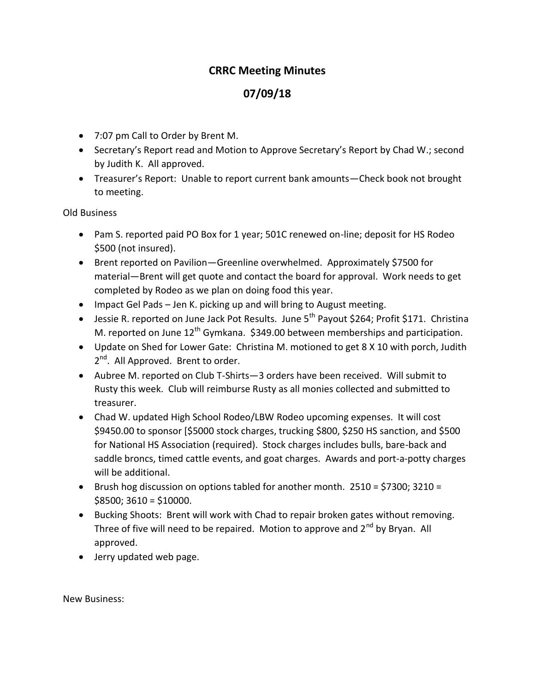## **CRRC Meeting Minutes**

## **07/09/18**

- 7:07 pm Call to Order by Brent M.
- Secretary's Report read and Motion to Approve Secretary's Report by Chad W.; second by Judith K. All approved.
- Treasurer's Report: Unable to report current bank amounts—Check book not brought to meeting.

Old Business

- Pam S. reported paid PO Box for 1 year; 501C renewed on-line; deposit for HS Rodeo \$500 (not insured).
- Brent reported on Pavilion—Greenline overwhelmed. Approximately \$7500 for material—Brent will get quote and contact the board for approval. Work needs to get completed by Rodeo as we plan on doing food this year.
- Impact Gel Pads Jen K. picking up and will bring to August meeting.
- Jessie R. reported on June Jack Pot Results. June 5<sup>th</sup> Payout \$264; Profit \$171. Christina M. reported on June  $12<sup>th</sup>$  Gymkana. \$349.00 between memberships and participation.
- Update on Shed for Lower Gate: Christina M. motioned to get 8 X 10 with porch, Judith 2<sup>nd</sup>. All Approved. Brent to order.
- Aubree M. reported on Club T-Shirts—3 orders have been received. Will submit to Rusty this week. Club will reimburse Rusty as all monies collected and submitted to treasurer.
- Chad W. updated High School Rodeo/LBW Rodeo upcoming expenses. It will cost \$9450.00 to sponsor [\$5000 stock charges, trucking \$800, \$250 HS sanction, and \$500 for National HS Association (required). Stock charges includes bulls, bare-back and saddle broncs, timed cattle events, and goat charges. Awards and port-a-potty charges will be additional.
- **•** Brush hog discussion on options tabled for another month.  $2510 = $7300$ ;  $3210 =$  $$8500; 3610 = $10000.$
- Bucking Shoots: Brent will work with Chad to repair broken gates without removing. Three of five will need to be repaired. Motion to approve and  $2^{nd}$  by Bryan. All approved.
- Jerry updated web page.

New Business: